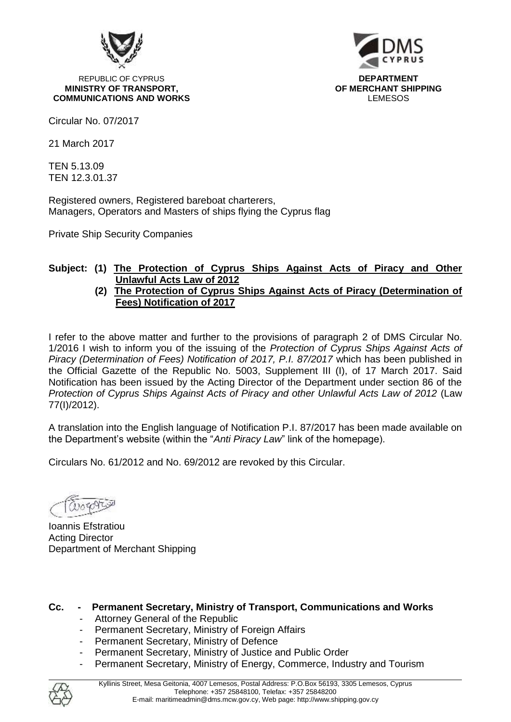

**REPUBLIC OF CYPRUS AND REPUBLIC OF CYPRUS MINISTRY OF TRANSPORT, OF MERCHANT SHIPPING COMMUNICATIONS AND WORKS LEMESOS LEMESOS** 



Circular No. 07/2017

21 March 2017

TEN 5.13.09 TEN 12.3.01.37

Registered owners, Registered bareboat charterers, Managers, Operators and Masters of ships flying the Cyprus flag

Private Ship Security Companies

## **Subject: (1) The Protection of Cyprus Ships Against Acts of Piracy and Other Unlawful Acts Law of 2012**

**(2) The Protection of Cyprus Ships Against Acts of Piracy (Determination of Fees) Notification of 2017**

I refer to the above matter and further to the provisions of paragraph 2 of DMS Circular No. 1/2016 I wish to inform you of the issuing of the *Protection of Cyprus Ships Against Acts of Piracy (Determination of Fees) Notification of 2017, P.I. 87/2017* which has been published in the Official Gazette of the Republic No. 5003, Supplement III (I), of 17 March 2017. Said Notification has been issued by the Acting Director of the Department under section 86 of the *Protection of Cyprus Ships Against Acts of Piracy and other Unlawful Acts Law of 2012* (Law 77(I)/2012).

A translation into the English language of Notification P.I. 87/2017 has been made available on the Department's website (within the "*Anti Piracy Law*" link of the homepage).

Circulars No. 61/2012 and No. 69/2012 are revoked by this Circular.

Ioannis Efstratiou Acting Director Department of Merchant Shipping

## **Cc. - Permanent Secretary, Ministry of Transport, Communications and Works**

- Attorney General of the Republic
- Permanent Secretary, Ministry of Foreign Affairs
- Permanent Secretary, Ministry of Defence
- Permanent Secretary, Ministry of Justice and Public Order
- Permanent Secretary, Ministry of Energy, Commerce, Industry and Tourism